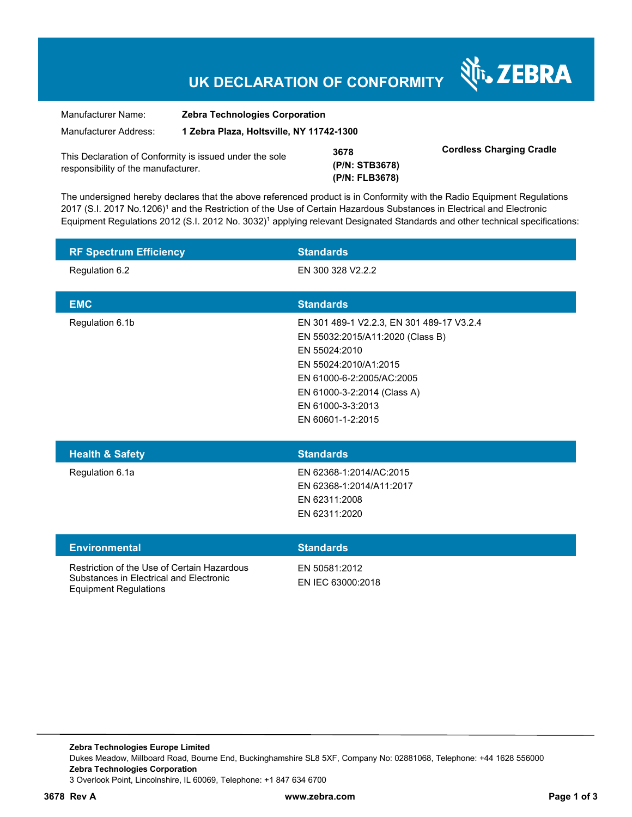## **UK DECLARATION OF CONFORMITY**

Nr. ZEBRA

| Manufacturer Name:                                                                             | <b>Zebra Technologies Corporation</b>    |                                          |                                 |
|------------------------------------------------------------------------------------------------|------------------------------------------|------------------------------------------|---------------------------------|
| Manufacturer Address:                                                                          | 1 Zebra Plaza, Holtsville, NY 11742-1300 |                                          |                                 |
| This Declaration of Conformity is issued under the sole<br>responsibility of the manufacturer. |                                          | 3678<br>(P/N: STB3678)<br>(P/N: FLB3678) | <b>Cordless Charging Cradle</b> |

The undersigned hereby declares that the above referenced product is in Conformity with the Radio Equipment Regulations 2017 (S.I. 2017 No.1206)<sup>1</sup> and the Restriction of the Use of Certain Hazardous Substances in Electrical and Electronic Equipment Regulations 2012 (S.I. 2012 No. 3032)<sup>1</sup> applying relevant Designated Standards and other technical specifications:

| <b>RF Spectrum Efficiency</b>                                                                                          | <b>Standards</b>                                                                                                                                                                                                              |
|------------------------------------------------------------------------------------------------------------------------|-------------------------------------------------------------------------------------------------------------------------------------------------------------------------------------------------------------------------------|
| Regulation 6.2                                                                                                         | EN 300 328 V2.2.2                                                                                                                                                                                                             |
| <b>EMC</b>                                                                                                             | <b>Standards</b>                                                                                                                                                                                                              |
| Regulation 6.1b                                                                                                        | EN 301 489-1 V2.2.3, EN 301 489-17 V3.2.4<br>EN 55032:2015/A11:2020 (Class B)<br>EN 55024:2010<br>EN 55024:2010/A1:2015<br>EN 61000-6-2:2005/AC:2005<br>EN 61000-3-2:2014 (Class A)<br>EN 61000-3-3:2013<br>EN 60601-1-2:2015 |
| <b>Health &amp; Safety</b>                                                                                             | <b>Standards</b>                                                                                                                                                                                                              |
| Regulation 6.1a                                                                                                        | EN 62368-1:2014/AC:2015<br>EN 62368-1:2014/A11:2017<br>EN 62311:2008<br>EN 62311:2020                                                                                                                                         |
| <b>Environmental</b>                                                                                                   | <b>Standards</b>                                                                                                                                                                                                              |
| Restriction of the Use of Certain Hazardous<br>Substances in Electrical and Electronic<br><b>Equipment Regulations</b> | EN 50581:2012<br>EN IEC 63000:2018                                                                                                                                                                                            |

**3678 Rev A www.zebra.com Page 1 of 3**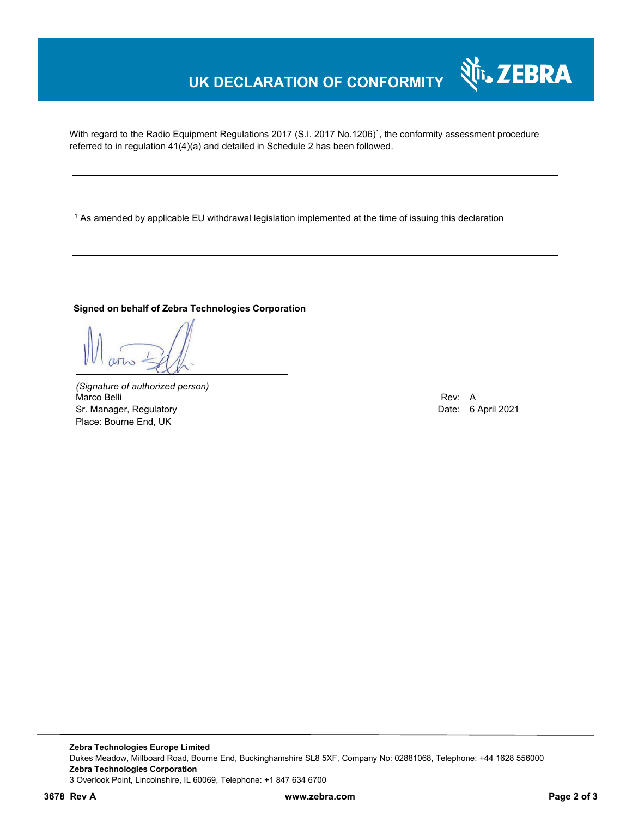## **UK DECLARATION OF CONFORMITY**

With regard to the Radio Equipment Regulations 2017 (S.I. 2017 No.1206)<sup>1</sup>, the conformity assessment procedure referred to in regulation 41(4)(a) and detailed in Schedule 2 has been followed.

 $^{\rm 1}$  As amended by applicable EU withdrawal legislation implemented at the time of issuing this declaration

#### **Signed on behalf of Zebra Technologies Corporation**

*(Signature of authorized person)* Marco Belli Rev: A Sr. Manager, Regulatory Date: 6 April 2021 Place: Bourne End, UK

र्शे<sub>ि</sub>, ZEBRA